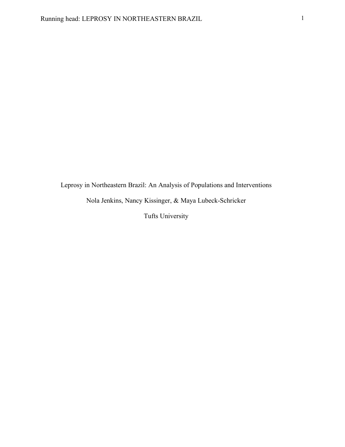Leprosy in Northeastern Brazil: An Analysis of Populations and Interventions

Nola Jenkins, Nancy Kissinger, & Maya Lubeck-Schricker

Tufts University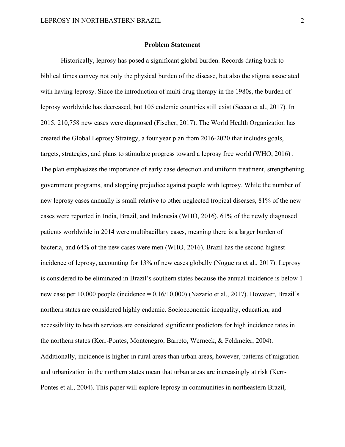#### **Problem Statement**

Historically, leprosy has posed a significant global burden. Records dating back to biblical times convey not only the physical burden of the disease, but also the stigma associated with having leprosy. Since the introduction of multi drug therapy in the 1980s, the burden of leprosy worldwide has decreased, but 105 endemic countries still exist (Secco et al., 2017). In 2015, 210,758 new cases were diagnosed (Fischer, 2017). The World Health Organization has created the Global Leprosy Strategy, a four year plan from 2016-2020 that includes goals, targets, strategies, and plans to stimulate progress toward a leprosy free world (WHO, 2016) . The plan emphasizes the importance of early case detection and uniform treatment, strengthening government programs, and stopping prejudice against people with leprosy. While the number of new leprosy cases annually is small relative to other neglected tropical diseases, 81% of the new cases were reported in India, Brazil, and Indonesia (WHO, 2016). 61% of the newly diagnosed patients worldwide in 2014 were multibacillary cases, meaning there is a larger burden of bacteria, and 64% of the new cases were men (WHO, 2016). Brazil has the second highest incidence of leprosy, accounting for 13% of new cases globally (Nogueira et al., 2017). Leprosy is considered to be eliminated in Brazil's southern states because the annual incidence is below 1 new case per 10,000 people (incidence = 0.16/10,000) (Nazario et al., 2017). However, Brazil's northern states are considered highly endemic. Socioeconomic inequality, education, and accessibility to health services are considered significant predictors for high incidence rates in the northern states (Kerr-Pontes, Montenegro, Barreto, Werneck, & Feldmeier, 2004). Additionally, incidence is higher in rural areas than urban areas, however, patterns of migration and urbanization in the northern states mean that urban areas are increasingly at risk (Kerr-Pontes et al., 2004). This paper will explore leprosy in communities in northeastern Brazil,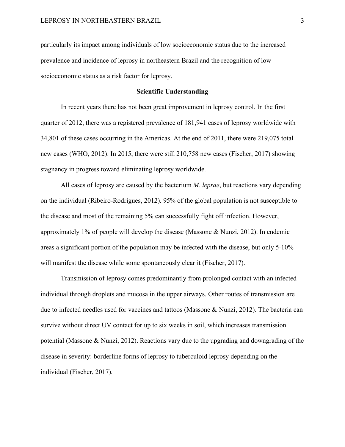particularly its impact among individuals of low socioeconomic status due to the increased prevalence and incidence of leprosy in northeastern Brazil and the recognition of low socioeconomic status as a risk factor for leprosy.

#### **Scientific Understanding**

In recent years there has not been great improvement in leprosy control. In the first quarter of 2012, there was a registered prevalence of 181,941 cases of leprosy worldwide with 34,801 of these cases occurring in the Americas. At the end of 2011, there were 219,075 total new cases (WHO, 2012). In 2015, there were still 210,758 new cases (Fischer, 2017) showing stagnancy in progress toward eliminating leprosy worldwide.

All cases of leprosy are caused by the bacterium *M. leprae*, but reactions vary depending on the individual (Ribeiro-Rodrigues, 2012). 95% of the global population is not susceptible to the disease and most of the remaining 5% can successfully fight off infection. However, approximately 1% of people will develop the disease (Massone & Nunzi, 2012). In endemic areas a significant portion of the population may be infected with the disease, but only 5-10% will manifest the disease while some spontaneously clear it (Fischer, 2017).

Transmission of leprosy comes predominantly from prolonged contact with an infected individual through droplets and mucosa in the upper airways. Other routes of transmission are due to infected needles used for vaccines and tattoos (Massone & Nunzi, 2012). The bacteria can survive without direct UV contact for up to six weeks in soil, which increases transmission potential (Massone & Nunzi, 2012). Reactions vary due to the upgrading and downgrading of the disease in severity: borderline forms of leprosy to tuberculoid leprosy depending on the individual (Fischer, 2017).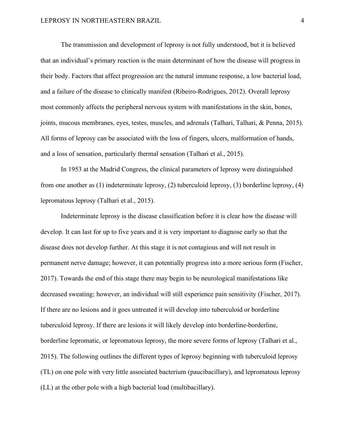The transmission and development of leprosy is not fully understood, but it is believed that an individual's primary reaction is the main determinant of how the disease will progress in their body. Factors that affect progression are the natural immune response, a low bacterial load, and a failure of the disease to clinically manifest (Ribeiro-Rodrigues, 2012). Overall leprosy most commonly affects the peripheral nervous system with manifestations in the skin, bones, joints, mucous membranes, eyes, testes, muscles, and adrenals (Talhari, Talhari, & Penna, 2015). All forms of leprosy can be associated with the loss of fingers, ulcers, malformation of hands, and a loss of sensation, particularly thermal sensation (Talhari et al., 2015).

In 1953 at the Madrid Congress, the clinical parameters of leprosy were distinguished from one another as (1) indeterminate leprosy, (2) tuberculoid leprosy, (3) borderline leprosy, (4) lepromatous leprosy (Talhari et al., 2015).

Indeterminate leprosy is the disease classification before it is clear how the disease will develop. It can last for up to five years and it is very important to diagnose early so that the disease does not develop further. At this stage it is not contagious and will not result in permanent nerve damage; however, it can potentially progress into a more serious form (Fischer, 2017). Towards the end of this stage there may begin to be neurological manifestations like decreased sweating; however, an individual will still experience pain sensitivity (Fischer, 2017). If there are no lesions and it goes untreated it will develop into tuberculoid or borderline tuberculoid leprosy. If there are lesions it will likely develop into borderline-borderline, borderline lepromatic, or lepromatous leprosy, the more severe forms of leprosy (Talhari et al., 2015). The following outlines the different types of leprosy beginning with tuberculoid leprosy (TL) on one pole with very little associated bacterium (paucibacillary), and lepromatous leprosy (LL) at the other pole with a high bacterial load (multibacillary).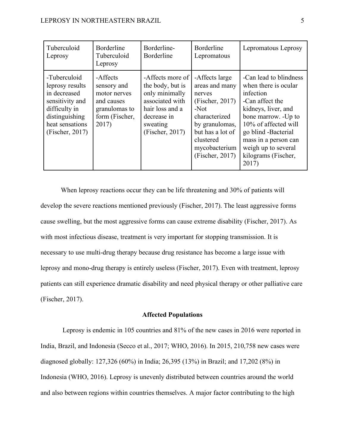| Tuberculoid<br>Leprosy                                                                                                                      | Borderline<br>Tuberculoid<br>Leprosy                                                              | Borderline-<br>Borderline                                                                                                                  | Borderline<br>Lepromatous                                                                                                                                                       | Lepromatous Leprosy                                                                                                                                                                                                                                        |
|---------------------------------------------------------------------------------------------------------------------------------------------|---------------------------------------------------------------------------------------------------|--------------------------------------------------------------------------------------------------------------------------------------------|---------------------------------------------------------------------------------------------------------------------------------------------------------------------------------|------------------------------------------------------------------------------------------------------------------------------------------------------------------------------------------------------------------------------------------------------------|
| -Tuberculoid<br>leprosy results<br>in decreased<br>sensitivity and<br>difficulty in<br>distinguishing<br>heat sensations<br>(Fischer, 2017) | -Affects<br>sensory and<br>motor nerves<br>and causes<br>granulomas to<br>form (Fischer,<br>2017) | -Affects more of<br>the body, but is<br>only minimally<br>associated with<br>hair loss and a<br>decrease in<br>sweating<br>(Fischer, 2017) | -Affects large<br>areas and many<br>nerves<br>(Fischer, 2017)<br>$-Not$<br>characterized<br>by granulomas,<br>but has a lot of<br>clustered<br>mycobacterium<br>(Fischer, 2017) | -Can lead to blindness<br>when there is ocular<br>infection<br>-Can affect the<br>kidneys, liver, and<br>bone marrow. -Up to<br>10% of affected will<br>go blind -Bacterial<br>mass in a person can<br>weigh up to several<br>kilograms (Fischer,<br>2017) |

When leprosy reactions occur they can be life threatening and 30% of patients will develop the severe reactions mentioned previously (Fischer, 2017). The least aggressive forms cause swelling, but the most aggressive forms can cause extreme disability (Fischer, 2017). As with most infectious disease, treatment is very important for stopping transmission. It is necessary to use multi-drug therapy because drug resistance has become a large issue with leprosy and mono-drug therapy is entirely useless (Fischer, 2017). Even with treatment, leprosy patients can still experience dramatic disability and need physical therapy or other palliative care (Fischer, 2017).

#### **Affected Populations**

Leprosy is endemic in 105 countries and 81% of the new cases in 2016 were reported in India, Brazil, and Indonesia (Secco et al., 2017; WHO, 2016). In 2015, 210,758 new cases were diagnosed globally: 127,326 (60%) in India; 26,395 (13%) in Brazil; and 17,202 (8%) in Indonesia (WHO, 2016). Leprosy is unevenly distributed between countries around the world and also between regions within countries themselves. A major factor contributing to the high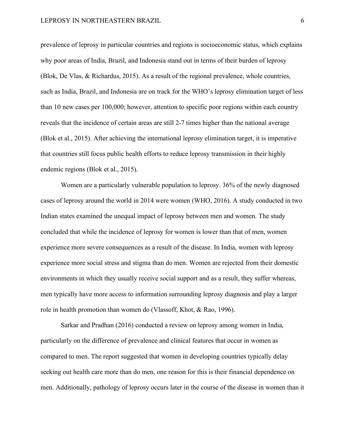prevalence of leprosy in particular countries and regions is socioeconomic status, which explains why poor areas of India, Brazil, and Indonesia stand out in terms of their burden of leprosy (Blok, De Vlas, & Richardus, 2015). As a result of the regional prevalence, whole countries, such as India, Brazil, and Indonesia are on track for the WHO's leprosy elimination target of less than 10 new cases per 100,000; however, attention to specific poor regions within each country reveals that the incidence of certain areas are still 2-7 times higher than the national average (Blok et al., 2015). After achieving the international leprosy elimination target, it is imperative that countries still focus public health efforts to reduce leprosy transmission in their highly endemic regions (Blok et al., 2015).

Women are a particularly vulnerable population to leprosy. 36% of the newly diagnosed cases of leprosy around the world in 2014 were women (WHO, 2016). A study conducted in two Indian states examined the unequal impact of leprosy between men and women. The study concluded that while the incidence of leprosy for women is lower than that of men, women experience more severe consequences as a result of the disease. In India, women with leprosy experience more social stress and stigma than do men. Women are rejected from their domestic environments in which they usually receive social support and as a result, they suffer whereas, men typically have more access to information surrounding leprosy diagnosis and play a larger role in health promotion than women do (Vlassoff, Khot, & Rao, 1996).

Sarkar and Pradhan (2016) conducted a review on leprosy among women in India, particularly on the difference of prevalence and clinical features that occur in women as compared to men. The report suggested that women in developing countries typically delay seeking out health care more than do men, one reason for this is their financial dependence on men. Additionally, pathology of leprosy occurs later in the course of the disease in women than it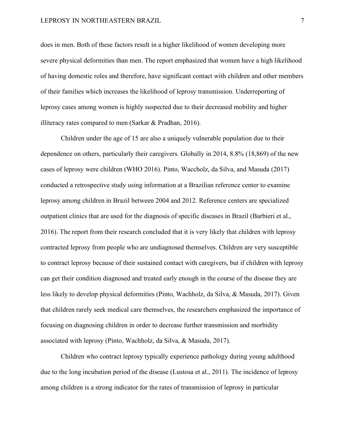#### LEPROSY IN NORTHEASTERN BRAZIL 7 7

does in men. Both of these factors result in a higher likelihood of women developing more severe physical deformities than men. The report emphasized that women have a high likelihood of having domestic roles and therefore, have significant contact with children and other members of their families which increases the likelihood of leprosy transmission. Underreporting of leprosy cases among women is highly suspected due to their decreased mobility and higher illiteracy rates compared to men (Sarkar & Pradhan, 2016).

Children under the age of 15 are also a uniquely vulnerable population due to their dependence on others, particularly their caregivers. Globally in 2014, 8.8% (18,869) of the new cases of leprosy were children (WHO 2016). Pinto, Waccholz, da Silva, and Masuda (2017) conducted a retrospective study using information at a Brazilian reference center to examine leprosy among children in Brazil between 2004 and 2012. Reference centers are specialized outpatient clinics that are used for the diagnosis of specific diseases in Brazil (Barbieri et al., 2016). The report from their research concluded that it is very likely that children with leprosy contracted leprosy from people who are undiagnosed themselves. Children are very susceptible to contract leprosy because of their sustained contact with caregivers, but if children with leprosy can get their condition diagnosed and treated early enough in the course of the disease they are less likely to develop physical deformities (Pinto, Wachholz, da Silva, & Masuda, 2017). Given that children rarely seek medical care themselves, the researchers emphasized the importance of focusing on diagnosing children in order to decrease further transmission and morbidity associated with leprosy (Pinto, Wachholz, da Silva, & Masuda, 2017).

Children who contract leprosy typically experience pathology during young adulthood due to the long incubation period of the disease (Lustosa et al., 2011). The incidence of leprosy among children is a strong indicator for the rates of transmission of leprosy in particular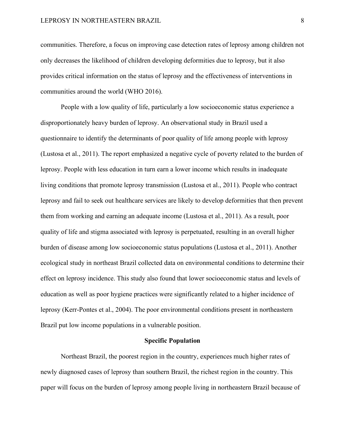communities. Therefore, a focus on improving case detection rates of leprosy among children not only decreases the likelihood of children developing deformities due to leprosy, but it also provides critical information on the status of leprosy and the effectiveness of interventions in communities around the world (WHO 2016).

People with a low quality of life, particularly a low socioeconomic status experience a disproportionately heavy burden of leprosy. An observational study in Brazil used a questionnaire to identify the determinants of poor quality of life among people with leprosy (Lustosa et al., 2011). The report emphasized a negative cycle of poverty related to the burden of leprosy. People with less education in turn earn a lower income which results in inadequate living conditions that promote leprosy transmission (Lustosa et al., 2011). People who contract leprosy and fail to seek out healthcare services are likely to develop deformities that then prevent them from working and earning an adequate income (Lustosa et al., 2011). As a result, poor quality of life and stigma associated with leprosy is perpetuated, resulting in an overall higher burden of disease among low socioeconomic status populations (Lustosa et al., 2011). Another ecological study in northeast Brazil collected data on environmental conditions to determine their effect on leprosy incidence. This study also found that lower socioeconomic status and levels of education as well as poor hygiene practices were significantly related to a higher incidence of leprosy (Kerr-Pontes et al., 2004). The poor environmental conditions present in northeastern Brazil put low income populations in a vulnerable position.

#### **Specific Population**

Northeast Brazil, the poorest region in the country, experiences much higher rates of newly diagnosed cases of leprosy than southern Brazil, the richest region in the country. This paper will focus on the burden of leprosy among people living in northeastern Brazil because of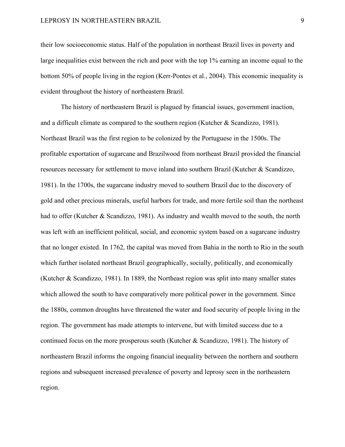their low socioeconomic status. Half of the population in northeast Brazil lives in poverty and large inequalities exist between the rich and poor with the top 1% earning an income equal to the bottom 50% of people living in the region (Kerr-Pontes et al., 2004). This economic inequality is evident throughout the history of northeastern Brazil.

The history of northeastern Brazil is plagued by financial issues, government inaction, and a difficult climate as compared to the southern region (Kutcher & Scandizzo, 1981). Northeast Brazil was the first region to be colonized by the Portuguese in the 1500s. The profitable exportation of sugarcane and Brazilwood from northeast Brazil provided the financial resources necessary for settlement to move inland into southern Brazil (Kutcher & Scandizzo, 1981). In the 1700s, the sugarcane industry moved to southern Brazil due to the discovery of gold and other precious minerals, useful harbors for trade, and more fertile soil than the northeast had to offer (Kutcher & Scandizzo, 1981). As industry and wealth moved to the south, the north was left with an inefficient political, social, and economic system based on a sugarcane industry that no longer existed. In 1762, the capital was moved from Bahia in the north to Rio in the south which further isolated northeast Brazil geographically, socially, politically, and economically (Kutcher & Scandizzo, 1981). In 1889, the Northeast region was split into many smaller states which allowed the south to have comparatively more political power in the government. Since the 1880s, common droughts have threatened the water and food security of people living in the region. The government has made attempts to intervene, but with limited success due to a continued focus on the more prosperous south (Kutcher & Scandizzo, 1981). The history of northeastern Brazil informs the ongoing financial inequality between the northern and southern regions and subsequent increased prevalence of poverty and leprosy seen in the northeastern region.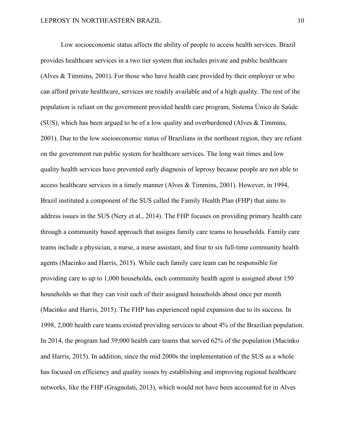Low socioeconomic status affects the ability of people to access health services. Brazil provides healthcare services in a two tier system that includes private and public healthcare (Alves & Timmins, 2001). For those who have health care provided by their employer or who can afford private healthcare, services are readily available and of a high quality. The rest of the population is reliant on the government provided health care program, Sistema Único de Saúde (SUS), which has been argued to be of a low quality and overburdened (Alves & Timmins, 2001). Due to the low socioeconomic status of Brazilians in the northeast region, they are reliant on the government run public system for healthcare services. The long wait times and low quality health services have prevented early diagnosis of leprosy because people are not able to access healthcare services in a timely manner (Alves & Timmins, 2001). However, in 1994, Brazil instituted a component of the SUS called the Family Health Plan (FHP) that aims to address issues in the SUS (Nery et al., 2014). The FHP focuses on providing primary health care through a community based approach that assigns family care teams to households. Family care teams include a physician, a nurse, a nurse assistant, and four to six full-time community health agents (Macinko and Harris, 2015). While each family care team can be responsible for providing care to up to 1,000 households, each community health agent is assigned about 150 households so that they can visit each of their assigned households about once per month (Macinko and Harris, 2015). The FHP has experienced rapid expansion due to its success. In 1998, 2,000 health care teams existed providing services to about 4% of the Brazilian population. In 2014, the program had 39,000 health care teams that served 62% of the population (Macinko and Harris, 2015). In addition, since the mid 2000s the implementation of the SUS as a whole has focused on efficiency and quality issues by establishing and improving regional healthcare networks, like the FHP (Gragnolati, 2013), which would not have been accounted for in Alves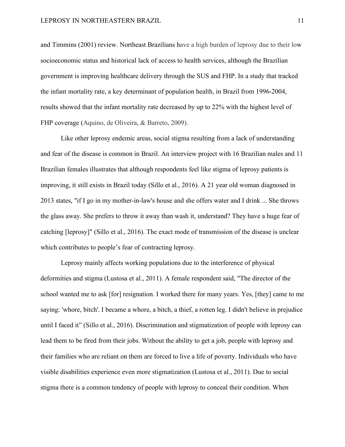and Timmins (2001) review. Northeast Brazilians have a high burden of leprosy due to their low socioeconomic status and historical lack of access to health services, although the Brazilian government is improving healthcare delivery through the SUS and FHP. In a study that tracked the infant mortality rate, a key determinant of population health, in Brazil from 1996-2004, results showed that the infant mortality rate decreased by up to 22% with the highest level of FHP coverage (Aquino, de Oliveira, & Barreto, 2009).

Like other leprosy endemic areas, social stigma resulting from a lack of understanding and fear of the disease is common in Brazil. An interview project with 16 Brazilian males and 11 Brazilian females illustrates that although respondents feel like stigma of leprosy patients is improving, it still exists in Brazil today (Sillo et al., 2016). A 21 year old woman diagnosed in 2013 states, "if I go in my mother-in-law's house and she offers water and I drink ... She throws the glass away. She prefers to throw it away than wash it, understand? They have a huge fear of catching [leprosy]" (Sillo et al., 2016). The exact mode of transmission of the disease is unclear which contributes to people's fear of contracting leprosy.

Leprosy mainly affects working populations due to the interference of physical deformities and stigma (Lustosa et al., 2011). A female respondent said, "The director of the school wanted me to ask [for] resignation. I worked there for many years. Yes, [they] came to me saying: 'whore, bitch'. I became a whore, a bitch, a thief, a rotten leg. I didn't believe in prejudice until I faced it" (Sillo et al., 2016). Discrimination and stigmatization of people with leprosy can lead them to be fired from their jobs. Without the ability to get a job, people with leprosy and their families who are reliant on them are forced to live a life of poverty. Individuals who have visible disabilities experience even more stigmatization (Lustosa et al., 2011). Due to social stigma there is a common tendency of people with leprosy to conceal their condition. When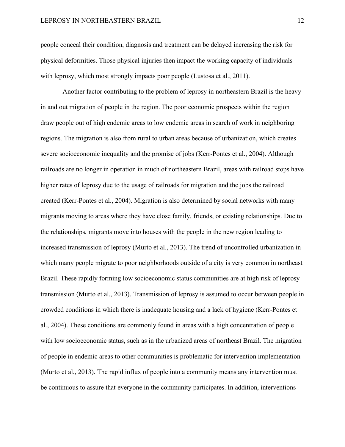people conceal their condition, diagnosis and treatment can be delayed increasing the risk for physical deformities. Those physical injuries then impact the working capacity of individuals with leprosy, which most strongly impacts poor people (Lustosa et al., 2011).

Another factor contributing to the problem of leprosy in northeastern Brazil is the heavy in and out migration of people in the region. The poor economic prospects within the region draw people out of high endemic areas to low endemic areas in search of work in neighboring regions. The migration is also from rural to urban areas because of urbanization, which creates severe socioeconomic inequality and the promise of jobs (Kerr-Pontes et al., 2004). Although railroads are no longer in operation in much of northeastern Brazil, areas with railroad stops have higher rates of leprosy due to the usage of railroads for migration and the jobs the railroad created (Kerr-Pontes et al., 2004). Migration is also determined by social networks with many migrants moving to areas where they have close family, friends, or existing relationships. Due to the relationships, migrants move into houses with the people in the new region leading to increased transmission of leprosy (Murto et al., 2013). The trend of uncontrolled urbanization in which many people migrate to poor neighborhoods outside of a city is very common in northeast Brazil. These rapidly forming low socioeconomic status communities are at high risk of leprosy transmission (Murto et al., 2013). Transmission of leprosy is assumed to occur between people in crowded conditions in which there is inadequate housing and a lack of hygiene (Kerr-Pontes et al., 2004). These conditions are commonly found in areas with a high concentration of people with low socioeconomic status, such as in the urbanized areas of northeast Brazil. The migration of people in endemic areas to other communities is problematic for intervention implementation (Murto et al., 2013). The rapid influx of people into a community means any intervention must be continuous to assure that everyone in the community participates. In addition, interventions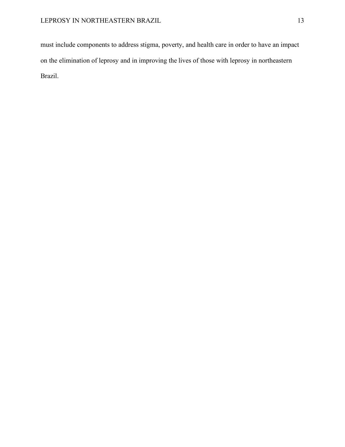must include components to address stigma, poverty, and health care in order to have an impact on the elimination of leprosy and in improving the lives of those with leprosy in northeastern Brazil.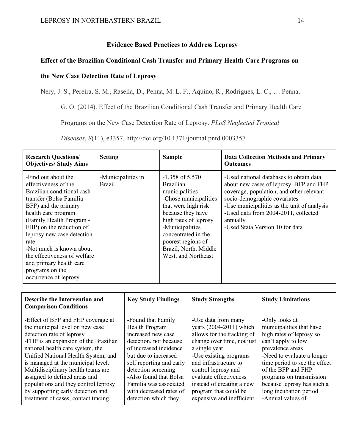## **Evidence Based Practices to Address Leprosy**

## **Effect of the Brazilian Conditional Cash Transfer and Primary Health Care Programs on**

# **the New Case Detection Rate of Leprosy**

Nery, J. S., Pereira, S. M., Rasella, D., Penna, M. L. F., Aquino, R., Rodrigues, L. C., … Penna,

G. O. (2014). Effect of the Brazilian Conditional Cash Transfer and Primary Health Care

Programs on the New Case Detection Rate of Leprosy. *PLoS Neglected Tropical* 

| <b>Research Questions/</b><br><b>Objectives/ Study Aims</b>                                                                                                                                                                                                                                                                                                                            | <b>Setting</b>                      | <b>Sample</b>                                                                                                                                                                                                                                                         | <b>Data Collection Methods and Primary</b><br><b>Outcomes</b>                                                                                                                                                                                                                                        |
|----------------------------------------------------------------------------------------------------------------------------------------------------------------------------------------------------------------------------------------------------------------------------------------------------------------------------------------------------------------------------------------|-------------------------------------|-----------------------------------------------------------------------------------------------------------------------------------------------------------------------------------------------------------------------------------------------------------------------|------------------------------------------------------------------------------------------------------------------------------------------------------------------------------------------------------------------------------------------------------------------------------------------------------|
| -Find out about the<br>effectiveness of the<br>Brazilian conditional cash<br>transfer (Bolsa Familia -<br>BFP) and the primary<br>health care program<br>(Family Health Program -<br>FHP) on the reduction of<br>leprosy new case detection<br>rate<br>-Not much is known about<br>the effectiveness of welfare<br>and primary health care<br>programs on the<br>occurrence of leprosy | -Municipalities in<br><b>Brazil</b> | $-1,358$ of 5,570<br><b>Brazilian</b><br>municipalities<br>-Chose municipalities<br>that were high risk<br>because they have<br>high rates of leprosy<br>-Municipalities<br>concentrated in the<br>poorest regions of<br>Brazil, North, Middle<br>West, and Northeast | -Used national databases to obtain data<br>about new cases of leprosy, BFP and FHP<br>coverage, population, and other relevant<br>socio-demographic covariates<br>-Use municipalities as the unit of analysis<br>-Used data from 2004-2011, collected<br>annually<br>-Used Stata Version 10 for data |

*Diseases*, *8*(11), e3357. http://doi.org/10.1371/journal.pntd.0003357

| Describe the Intervention and<br><b>Comparison Conditions</b> | <b>Key Study Findings</b> | <b>Study Strengths</b>     | <b>Study Limitations</b>      |
|---------------------------------------------------------------|---------------------------|----------------------------|-------------------------------|
| -Effect of BFP and FHP coverage at                            | -Found that Family        | -Use data from many        | -Only looks at                |
| the municipal level on new case                               | Health Program            | years (2004-2011) which    | municipalities that have      |
| detection rate of leprosy                                     | increased new case        | allows for the tracking of | high rates of leprosy so      |
| -FHP is an expansion of the Brazilian                         | detection, not because    | change over time, not just | can't apply to low            |
| national health care system, the                              | of increased incidence    | a single year              | prevalence areas              |
| Unified National Health System, and                           | but due to increased      | -Use existing programs     | -Need to evaluate a longer    |
| is managed at the municipal level.                            | self reporting and early  | and infrastructure to      | time period to see the effect |
| Multidisciplinary health teams are                            | detection screening       | control leprosy and        | of the BFP and FHP            |
| assigned to defined areas and                                 | -Also found that Bolsa    | evaluate effectiveness     | programs on transmission      |
| populations and they control leprosy                          | Familia was associated    | instead of creating a new  | because leprosy has such a    |
| by supporting early detection and                             | with decreased rates of   | program that could be      | long incubation period        |
| treatment of cases, contact tracing,                          | detection which they      | expensive and inefficient  | -Annual values of             |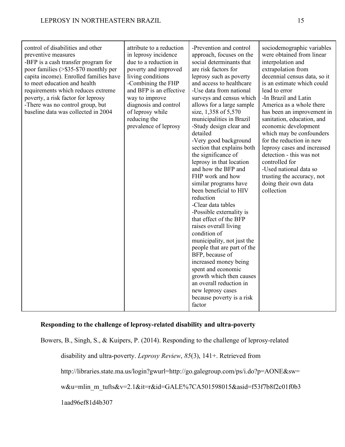| control of disabilities and other<br>preventive measures<br>-BFP is a cash transfer program for<br>poor families (>\$35-\$70 monthly per<br>capita income). Enrolled families have<br>to meet education and health<br>requirements which reduces extreme<br>poverty, a risk factor for leprosy<br>-There was no control group, but<br>baseline data was collected in 2004 | attribute to a reduction<br>in leprosy incidence<br>due to a reduction in<br>poverty and improved<br>living conditions<br>-Combining the FHP<br>and BFP is an effective<br>way to improve<br>diagnosis and control<br>of leprosy while<br>reducing the<br>prevalence of leprosy | -Prevention and control<br>approach, focuses on the<br>social determinants that<br>are risk factors for<br>leprosy such as poverty<br>and access to healthcare<br>-Use data from national<br>surveys and census which<br>allows for a large sample<br>size, 1,358 of 5,570<br>municipalities in Brazil<br>-Study design clear and<br>detailed<br>-Very good background<br>section that explains both<br>the significance of<br>leprosy in that location<br>and how the BFP and<br>FHP work and how<br>similar programs have<br>been beneficial to HIV<br>reduction<br>-Clear data tables<br>-Possible externality is<br>that effect of the BFP<br>raises overall living<br>condition of<br>municipality, not just the<br>people that are part of the<br>BFP, because of<br>increased money being<br>spent and economic<br>growth which then causes<br>an overall reduction in | sociodemographic variables<br>were obtained from linear<br>interpolation and<br>extrapolation from<br>decennial census data, so it<br>is an estimate which could<br>lead to error<br>-In Brazil and Latin<br>America as a whole there<br>has been an improvement in<br>sanitation, education, and<br>economic development<br>which may be confounders<br>for the reduction in new<br>leprosy cases and increased<br>detection - this was not<br>controlled for<br>-Used national data so<br>trusting the accuracy, not<br>doing their own data<br>collection |
|---------------------------------------------------------------------------------------------------------------------------------------------------------------------------------------------------------------------------------------------------------------------------------------------------------------------------------------------------------------------------|---------------------------------------------------------------------------------------------------------------------------------------------------------------------------------------------------------------------------------------------------------------------------------|-------------------------------------------------------------------------------------------------------------------------------------------------------------------------------------------------------------------------------------------------------------------------------------------------------------------------------------------------------------------------------------------------------------------------------------------------------------------------------------------------------------------------------------------------------------------------------------------------------------------------------------------------------------------------------------------------------------------------------------------------------------------------------------------------------------------------------------------------------------------------------|--------------------------------------------------------------------------------------------------------------------------------------------------------------------------------------------------------------------------------------------------------------------------------------------------------------------------------------------------------------------------------------------------------------------------------------------------------------------------------------------------------------------------------------------------------------|
|                                                                                                                                                                                                                                                                                                                                                                           |                                                                                                                                                                                                                                                                                 | new leprosy cases<br>because poverty is a risk<br>factor                                                                                                                                                                                                                                                                                                                                                                                                                                                                                                                                                                                                                                                                                                                                                                                                                      |                                                                                                                                                                                                                                                                                                                                                                                                                                                                                                                                                              |

## **Responding to the challenge of leprosy-related disability and ultra-poverty**

Bowers, B., Singh, S., & Kuipers, P. (2014). Responding to the challenge of leprosy-related disability and ultra-poverty. *Leprosy Review*, *85*(3), 141+. Retrieved from http://libraries.state.ma.us/login?gwurl=http://go.galegroup.com/ps/i.do?p=AONE&sw= w&u=mlin\_m\_tufts&v=2.1&it=r&id=GALE%7CA501598015&asid=f53f7b8f2c01f0b3 1aad96ef81d4b307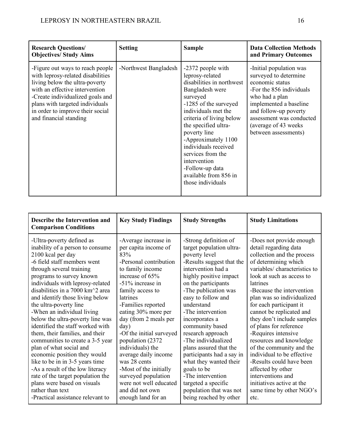| <b>Research Questions/</b><br><b>Objectives/Study Aims</b>                                                                                                                                                                                                                     | <b>Setting</b>        | <b>Sample</b>                                                                                                                                                                                                                                                                                                                                                             | <b>Data Collection Methods</b><br>and Primary Outcomes                                                                                                                                                                                            |
|--------------------------------------------------------------------------------------------------------------------------------------------------------------------------------------------------------------------------------------------------------------------------------|-----------------------|---------------------------------------------------------------------------------------------------------------------------------------------------------------------------------------------------------------------------------------------------------------------------------------------------------------------------------------------------------------------------|---------------------------------------------------------------------------------------------------------------------------------------------------------------------------------------------------------------------------------------------------|
| -Figure out ways to reach people<br>with leprosy-related disabilities<br>living below the ultra-poverty<br>with an effective intervention<br>-Create individualized goals and<br>plans with targeted individuals<br>in order to improve their social<br>and financial standing | -Northwest Bangladesh | -2372 people with<br>leprosy-related<br>disabilities in northwest<br>Bangladesh were<br>surveyed<br>-1285 of the surveyed<br>individuals met the<br>criteria of living below<br>the specified ultra-<br>poverty line<br>-Approximately 1100<br>individuals received<br>services from the<br>intervention<br>-Follow-up data<br>available from 856 in<br>those individuals | -Initial population was<br>surveyed to determine<br>economic status<br>-For the 856 individuals<br>who had a plan<br>implemented a baseline<br>and follow-up poverty<br>assessment was conducted<br>(average of 43 weeks)<br>between assessments) |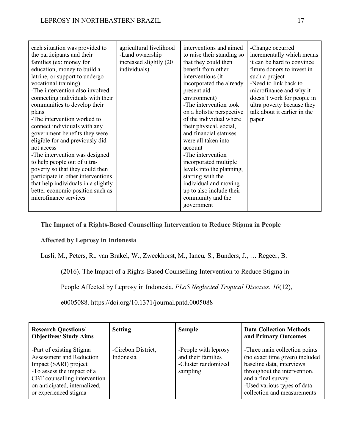**The Impact of a Rights-Based Counselling Intervention to Reduce Stigma in People** 

# **Affected by Leprosy in Indonesia**

Lusli, M., Peters, R., van Brakel, W., Zweekhorst, M., Iancu, S., Bunders, J., … Regeer, B.

(2016). The Impact of a Rights-Based Counselling Intervention to Reduce Stigma in

People Affected by Leprosy in Indonesia. *PLoS Neglected Tropical Diseases*, *10*(12),

e0005088. https://doi.org/10.1371/journal.pntd.0005088

| <b>Research Questions/</b><br><b>Objectives/ Study Aims</b>                                                                                                                                                  | <b>Setting</b>                  | <b>Sample</b>                                                                 | <b>Data Collection Methods</b><br>and Primary Outcomes                                                                                                                                                           |
|--------------------------------------------------------------------------------------------------------------------------------------------------------------------------------------------------------------|---------------------------------|-------------------------------------------------------------------------------|------------------------------------------------------------------------------------------------------------------------------------------------------------------------------------------------------------------|
| -Part of existing Stigma<br><b>Assessment and Reduction</b><br>Impact (SARI) project<br>-To assess the impact of a<br>CBT counselling intervention<br>on anticipated, internalized,<br>or experienced stigma | -Cirebon District,<br>Indonesia | -People with leprosy<br>and their families<br>-Cluster randomized<br>sampling | -Three main collection points<br>(no exact time given) included<br>baseline data, interviews<br>throughout the intervention,<br>and a final survey<br>-Used various types of data<br>collection and measurements |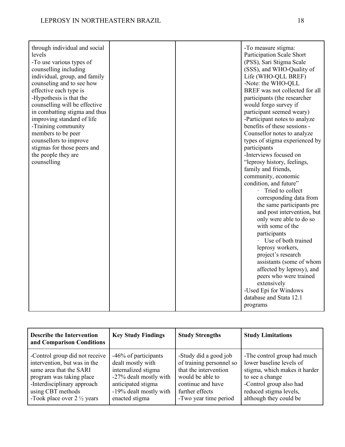| through individual and social<br>-To measure stigma:<br>levels<br><b>Participation Scale Short</b><br>(PSS), Sari Stigma Scale<br>-To use various types of<br>(SSS), and WHO-Quality of<br>counselling including<br>individual, group, and family<br>Life (WHO-QLL BREF)<br>counseling and to see how<br>-Note: the WHO-QLL<br>BREF was not collected for all<br>effective each type is<br>-Hypothesis is that the<br>participants (the researcher<br>counselling will be effective<br>would forgo survey if<br>in combatting stigma and thus<br>participant seemed weary)<br>-Participant notes to analyze<br>improving standard of life<br>benefits of these sessions -<br>-Training community<br>members to be peer<br>Counsellor notes to analyze<br>counsellors to improve<br>types of stigma experienced by<br>stigmas for those peers and<br>participants<br>-Interviews focused on<br>the people they are<br>"leprosy history, feelings,<br>counselling<br>family and friends,<br>community, economic<br>condition, and future"<br>· Tried to collect<br>corresponding data from<br>the same participants pre<br>and post intervention, but<br>only were able to do so<br>with some of the<br>participants<br>Use of both trained<br>leprosy workers,<br>project's research<br>assistants (some of whom<br>affected by leprosy), and<br>peers who were trained<br>extensively<br>-Used Epi for Windows<br>database and Stata 12.1 |  |          |
|-------------------------------------------------------------------------------------------------------------------------------------------------------------------------------------------------------------------------------------------------------------------------------------------------------------------------------------------------------------------------------------------------------------------------------------------------------------------------------------------------------------------------------------------------------------------------------------------------------------------------------------------------------------------------------------------------------------------------------------------------------------------------------------------------------------------------------------------------------------------------------------------------------------------------------------------------------------------------------------------------------------------------------------------------------------------------------------------------------------------------------------------------------------------------------------------------------------------------------------------------------------------------------------------------------------------------------------------------------------------------------------------------------------------------------------------|--|----------|
|                                                                                                                                                                                                                                                                                                                                                                                                                                                                                                                                                                                                                                                                                                                                                                                                                                                                                                                                                                                                                                                                                                                                                                                                                                                                                                                                                                                                                                           |  |          |
|                                                                                                                                                                                                                                                                                                                                                                                                                                                                                                                                                                                                                                                                                                                                                                                                                                                                                                                                                                                                                                                                                                                                                                                                                                                                                                                                                                                                                                           |  |          |
|                                                                                                                                                                                                                                                                                                                                                                                                                                                                                                                                                                                                                                                                                                                                                                                                                                                                                                                                                                                                                                                                                                                                                                                                                                                                                                                                                                                                                                           |  |          |
|                                                                                                                                                                                                                                                                                                                                                                                                                                                                                                                                                                                                                                                                                                                                                                                                                                                                                                                                                                                                                                                                                                                                                                                                                                                                                                                                                                                                                                           |  |          |
|                                                                                                                                                                                                                                                                                                                                                                                                                                                                                                                                                                                                                                                                                                                                                                                                                                                                                                                                                                                                                                                                                                                                                                                                                                                                                                                                                                                                                                           |  |          |
|                                                                                                                                                                                                                                                                                                                                                                                                                                                                                                                                                                                                                                                                                                                                                                                                                                                                                                                                                                                                                                                                                                                                                                                                                                                                                                                                                                                                                                           |  |          |
|                                                                                                                                                                                                                                                                                                                                                                                                                                                                                                                                                                                                                                                                                                                                                                                                                                                                                                                                                                                                                                                                                                                                                                                                                                                                                                                                                                                                                                           |  |          |
|                                                                                                                                                                                                                                                                                                                                                                                                                                                                                                                                                                                                                                                                                                                                                                                                                                                                                                                                                                                                                                                                                                                                                                                                                                                                                                                                                                                                                                           |  |          |
|                                                                                                                                                                                                                                                                                                                                                                                                                                                                                                                                                                                                                                                                                                                                                                                                                                                                                                                                                                                                                                                                                                                                                                                                                                                                                                                                                                                                                                           |  |          |
|                                                                                                                                                                                                                                                                                                                                                                                                                                                                                                                                                                                                                                                                                                                                                                                                                                                                                                                                                                                                                                                                                                                                                                                                                                                                                                                                                                                                                                           |  |          |
|                                                                                                                                                                                                                                                                                                                                                                                                                                                                                                                                                                                                                                                                                                                                                                                                                                                                                                                                                                                                                                                                                                                                                                                                                                                                                                                                                                                                                                           |  |          |
|                                                                                                                                                                                                                                                                                                                                                                                                                                                                                                                                                                                                                                                                                                                                                                                                                                                                                                                                                                                                                                                                                                                                                                                                                                                                                                                                                                                                                                           |  |          |
|                                                                                                                                                                                                                                                                                                                                                                                                                                                                                                                                                                                                                                                                                                                                                                                                                                                                                                                                                                                                                                                                                                                                                                                                                                                                                                                                                                                                                                           |  |          |
|                                                                                                                                                                                                                                                                                                                                                                                                                                                                                                                                                                                                                                                                                                                                                                                                                                                                                                                                                                                                                                                                                                                                                                                                                                                                                                                                                                                                                                           |  |          |
|                                                                                                                                                                                                                                                                                                                                                                                                                                                                                                                                                                                                                                                                                                                                                                                                                                                                                                                                                                                                                                                                                                                                                                                                                                                                                                                                                                                                                                           |  |          |
|                                                                                                                                                                                                                                                                                                                                                                                                                                                                                                                                                                                                                                                                                                                                                                                                                                                                                                                                                                                                                                                                                                                                                                                                                                                                                                                                                                                                                                           |  |          |
|                                                                                                                                                                                                                                                                                                                                                                                                                                                                                                                                                                                                                                                                                                                                                                                                                                                                                                                                                                                                                                                                                                                                                                                                                                                                                                                                                                                                                                           |  |          |
|                                                                                                                                                                                                                                                                                                                                                                                                                                                                                                                                                                                                                                                                                                                                                                                                                                                                                                                                                                                                                                                                                                                                                                                                                                                                                                                                                                                                                                           |  |          |
|                                                                                                                                                                                                                                                                                                                                                                                                                                                                                                                                                                                                                                                                                                                                                                                                                                                                                                                                                                                                                                                                                                                                                                                                                                                                                                                                                                                                                                           |  |          |
|                                                                                                                                                                                                                                                                                                                                                                                                                                                                                                                                                                                                                                                                                                                                                                                                                                                                                                                                                                                                                                                                                                                                                                                                                                                                                                                                                                                                                                           |  |          |
|                                                                                                                                                                                                                                                                                                                                                                                                                                                                                                                                                                                                                                                                                                                                                                                                                                                                                                                                                                                                                                                                                                                                                                                                                                                                                                                                                                                                                                           |  |          |
|                                                                                                                                                                                                                                                                                                                                                                                                                                                                                                                                                                                                                                                                                                                                                                                                                                                                                                                                                                                                                                                                                                                                                                                                                                                                                                                                                                                                                                           |  |          |
|                                                                                                                                                                                                                                                                                                                                                                                                                                                                                                                                                                                                                                                                                                                                                                                                                                                                                                                                                                                                                                                                                                                                                                                                                                                                                                                                                                                                                                           |  |          |
|                                                                                                                                                                                                                                                                                                                                                                                                                                                                                                                                                                                                                                                                                                                                                                                                                                                                                                                                                                                                                                                                                                                                                                                                                                                                                                                                                                                                                                           |  |          |
|                                                                                                                                                                                                                                                                                                                                                                                                                                                                                                                                                                                                                                                                                                                                                                                                                                                                                                                                                                                                                                                                                                                                                                                                                                                                                                                                                                                                                                           |  |          |
|                                                                                                                                                                                                                                                                                                                                                                                                                                                                                                                                                                                                                                                                                                                                                                                                                                                                                                                                                                                                                                                                                                                                                                                                                                                                                                                                                                                                                                           |  |          |
|                                                                                                                                                                                                                                                                                                                                                                                                                                                                                                                                                                                                                                                                                                                                                                                                                                                                                                                                                                                                                                                                                                                                                                                                                                                                                                                                                                                                                                           |  |          |
|                                                                                                                                                                                                                                                                                                                                                                                                                                                                                                                                                                                                                                                                                                                                                                                                                                                                                                                                                                                                                                                                                                                                                                                                                                                                                                                                                                                                                                           |  |          |
|                                                                                                                                                                                                                                                                                                                                                                                                                                                                                                                                                                                                                                                                                                                                                                                                                                                                                                                                                                                                                                                                                                                                                                                                                                                                                                                                                                                                                                           |  |          |
|                                                                                                                                                                                                                                                                                                                                                                                                                                                                                                                                                                                                                                                                                                                                                                                                                                                                                                                                                                                                                                                                                                                                                                                                                                                                                                                                                                                                                                           |  |          |
|                                                                                                                                                                                                                                                                                                                                                                                                                                                                                                                                                                                                                                                                                                                                                                                                                                                                                                                                                                                                                                                                                                                                                                                                                                                                                                                                                                                                                                           |  |          |
|                                                                                                                                                                                                                                                                                                                                                                                                                                                                                                                                                                                                                                                                                                                                                                                                                                                                                                                                                                                                                                                                                                                                                                                                                                                                                                                                                                                                                                           |  |          |
|                                                                                                                                                                                                                                                                                                                                                                                                                                                                                                                                                                                                                                                                                                                                                                                                                                                                                                                                                                                                                                                                                                                                                                                                                                                                                                                                                                                                                                           |  |          |
|                                                                                                                                                                                                                                                                                                                                                                                                                                                                                                                                                                                                                                                                                                                                                                                                                                                                                                                                                                                                                                                                                                                                                                                                                                                                                                                                                                                                                                           |  |          |
|                                                                                                                                                                                                                                                                                                                                                                                                                                                                                                                                                                                                                                                                                                                                                                                                                                                                                                                                                                                                                                                                                                                                                                                                                                                                                                                                                                                                                                           |  |          |
|                                                                                                                                                                                                                                                                                                                                                                                                                                                                                                                                                                                                                                                                                                                                                                                                                                                                                                                                                                                                                                                                                                                                                                                                                                                                                                                                                                                                                                           |  |          |
|                                                                                                                                                                                                                                                                                                                                                                                                                                                                                                                                                                                                                                                                                                                                                                                                                                                                                                                                                                                                                                                                                                                                                                                                                                                                                                                                                                                                                                           |  | programs |

| <b>Describe the Intervention</b><br>and Comparison Conditions | <b>Key Study Findings</b> | <b>Study Strengths</b>   | <b>Study Limitations</b>      |
|---------------------------------------------------------------|---------------------------|--------------------------|-------------------------------|
| -Control group did not receive                                | -46% of participants      | -Study did a good job    | -The control group had much   |
| intervention, but was in the                                  | dealt mostly with         | of training personnel so | lower baseline levels of      |
| same area that the SARI                                       | internalized stigma       | that the intervention    | stigma, which makes it harder |
| program was taking place                                      | -27% dealt mostly with    | would be able to         | to see a change               |
| -Interdisciplinary approach                                   | anticipated stigma        | continue and have        | -Control group also had       |
| using CBT methods                                             | -19% dealt mostly with    | further effects          | reduced stigma levels,        |
| -Took place over $2\frac{1}{2}$ years                         | enacted stigma            | -Two year time period    | although they could be        |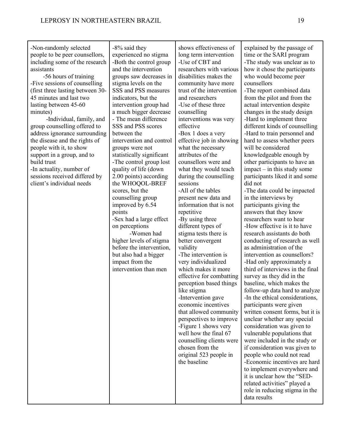-8% said they

shows effectiveness of

-Non-randomly selected

people to be peer counsellors, including some of the research assistants -56 hours of training -Five sessions of counselling (first three lasting between 30- 45 minutes and last two lasting between 45-60 minutes) -Individual, family, and group counselling offered to address ignorance surrounding the disease and the rights of people with it, to show support in a group, and to build trust -In actuality, number of sessions received differed by client's individual needs experienced no stigma -Both the control group and the intervention groups saw decreases in stigma levels on the SSS and PSS measures indicators, but the intervention group had a much bigger decrease - The mean difference SSS and PSS scores between the intervention and control groups were not statistically significant -The control group lost quality of life (down 2.00 points) according the WHOQOL-BREF scores, but the counselling group improved by 6.54 points -Sex had a large effect on perceptions -Women had higher levels of stigma before the intervention, but also had a bigger impact from the intervention than men long term intervention -Use of CBT and researchers with various disabilities makes the community have more trust of the intervention and researchers -Use of these three counselling interventions was very effective -Box 1 does a very effective job in showing what the necessary attributes of the counsellors were and what they would teach during the counselling sessions -All of the tables present new data and information that is not repetitive -By using three different types of stigma tests there is better convergent validity -The intervention is very individualized which makes it more effective for combatting perception based things like stigma -Intervention gave economic incentives that allowed community perspectives to improve -Figure 1 shows very well how the final 67 counselling clients were chosen from the original 523 people in the baseline

explained by the passage of time or the SARI program -The study was unclear as to how it chose the participants who would become peer counsellors -The report combined data from the pilot and from the actual intervention despite changes in the study design -Hard to implement three different kinds of counselling -Hard to train personnel and hard to assess whether peers will be considered knowledgeable enough by other participants to have an impact – in this study some participants liked it and some did not -The data could be impacted in the interviews by participants giving the answers that they know researchers want to hear -How effective is it to have research assistants do both conducting of research as well as administration of the intervention as counsellors? -Had only approximately a third of interviews in the final survey as they did in the baseline, which makes the follow-up data hard to analyze -In the ethical considerations, participants were given written consent forms, but it is unclear whether any special consideration was given to vulnerable populations that were included in the study or if consideration was given to people who could not read -Economic incentives are hard to implement everywhere and it is unclear how the "SEDrelated activities" played a role in reducing stigma in the data results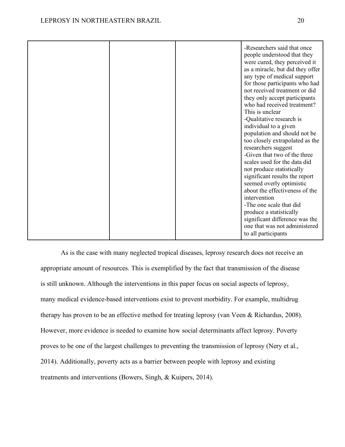|  | -Researchers said that once<br>people understood that they<br>were cured, they perceived it<br>as a miracle, but did they offer<br>any type of medical support<br>for those participants who had<br>not received treatment or did<br>they only accept participants<br>who had received treatment?<br>This is unclear<br>-Qualitative research is<br>individual to a given<br>population and should not be<br>too closely extrapolated as the<br>researchers suggest<br>-Given that two of the three<br>scales used for the data did<br>not produce statistically<br>significant results the report<br>seemed overly optimistic<br>about the effectiveness of the<br>intervention<br>-The one scale that did<br>produce a statistically<br>significant difference was the |
|--|--------------------------------------------------------------------------------------------------------------------------------------------------------------------------------------------------------------------------------------------------------------------------------------------------------------------------------------------------------------------------------------------------------------------------------------------------------------------------------------------------------------------------------------------------------------------------------------------------------------------------------------------------------------------------------------------------------------------------------------------------------------------------|
|  | one that was not administered<br>to all participants                                                                                                                                                                                                                                                                                                                                                                                                                                                                                                                                                                                                                                                                                                                     |

As is the case with many neglected tropical diseases, leprosy research does not receive an appropriate amount of resources. This is exemplified by the fact that transmission of the disease is still unknown. Although the interventions in this paper focus on social aspects of leprosy, many medical evidence-based interventions exist to prevent morbidity. For example, multidrug therapy has proven to be an effective method for treating leprosy (van Veen & Richardus, 2008). However, more evidence is needed to examine how social determinants affect leprosy. Poverty proves to be one of the largest challenges to preventing the transmission of leprosy (Nery et al., 2014). Additionally, poverty acts as a barrier between people with leprosy and existing treatments and interventions (Bowers, Singh, & Kuipers, 2014).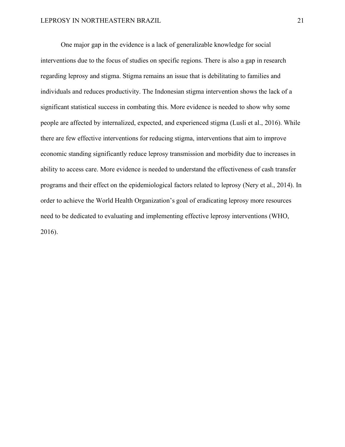One major gap in the evidence is a lack of generalizable knowledge for social interventions due to the focus of studies on specific regions. There is also a gap in research regarding leprosy and stigma. Stigma remains an issue that is debilitating to families and individuals and reduces productivity. The Indonesian stigma intervention shows the lack of a significant statistical success in combating this. More evidence is needed to show why some people are affected by internalized, expected, and experienced stigma (Lusli et al., 2016). While there are few effective interventions for reducing stigma, interventions that aim to improve economic standing significantly reduce leprosy transmission and morbidity due to increases in ability to access care. More evidence is needed to understand the effectiveness of cash transfer programs and their effect on the epidemiological factors related to leprosy (Nery et al., 2014). In order to achieve the World Health Organization's goal of eradicating leprosy more resources need to be dedicated to evaluating and implementing effective leprosy interventions (WHO, 2016).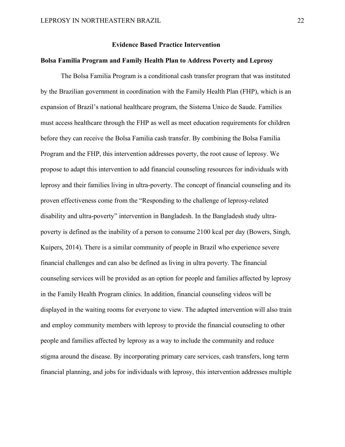#### **Evidence Based Practice Intervention**

#### **Bolsa Familia Program and Family Health Plan to Address Poverty and Leprosy**

The Bolsa Familia Program is a conditional cash transfer program that was instituted by the Brazilian government in coordination with the Family Health Plan (FHP), which is an expansion of Brazil's national healthcare program, the Sistema Unico de Saude. Families must access healthcare through the FHP as well as meet education requirements for children before they can receive the Bolsa Familia cash transfer. By combining the Bolsa Familia Program and the FHP, this intervention addresses poverty, the root cause of leprosy. We propose to adapt this intervention to add financial counseling resources for individuals with leprosy and their families living in ultra-poverty. The concept of financial counseling and its proven effectiveness come from the "Responding to the challenge of leprosy-related disability and ultra-poverty" intervention in Bangladesh. In the Bangladesh study ultrapoverty is defined as the inability of a person to consume 2100 kcal per day (Bowers, Singh, Kuipers, 2014). There is a similar community of people in Brazil who experience severe financial challenges and can also be defined as living in ultra poverty. The financial counseling services will be provided as an option for people and families affected by leprosy in the Family Health Program clinics. In addition, financial counseling videos will be displayed in the waiting rooms for everyone to view. The adapted intervention will also train and employ community members with leprosy to provide the financial counseling to other people and families affected by leprosy as a way to include the community and reduce stigma around the disease. By incorporating primary care services, cash transfers, long term financial planning, and jobs for individuals with leprosy, this intervention addresses multiple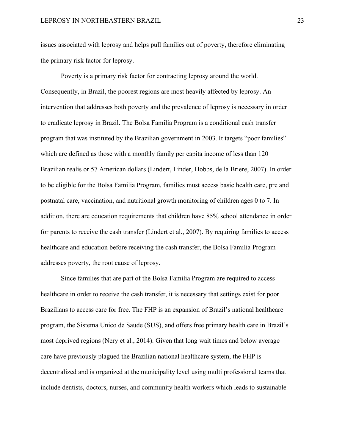issues associated with leprosy and helps pull families out of poverty, therefore eliminating the primary risk factor for leprosy.

Poverty is a primary risk factor for contracting leprosy around the world. Consequently, in Brazil, the poorest regions are most heavily affected by leprosy. An intervention that addresses both poverty and the prevalence of leprosy is necessary in order to eradicate leprosy in Brazil. The Bolsa Familia Program is a conditional cash transfer program that was instituted by the Brazilian government in 2003. It targets "poor families" which are defined as those with a monthly family per capita income of less than 120 Brazilian realis or 57 American dollars (Lindert, Linder, Hobbs, de la Briere, 2007). In order to be eligible for the Bolsa Familia Program, families must access basic health care, pre and postnatal care, vaccination, and nutritional growth monitoring of children ages 0 to 7. In addition, there are education requirements that children have 85% school attendance in order for parents to receive the cash transfer (Lindert et al., 2007). By requiring families to access healthcare and education before receiving the cash transfer, the Bolsa Familia Program addresses poverty, the root cause of leprosy.

Since families that are part of the Bolsa Familia Program are required to access healthcare in order to receive the cash transfer, it is necessary that settings exist for poor Brazilians to access care for free. The FHP is an expansion of Brazil's national healthcare program, the Sistema Unico de Saude (SUS), and offers free primary health care in Brazil's most deprived regions (Nery et al., 2014). Given that long wait times and below average care have previously plagued the Brazilian national healthcare system, the FHP is decentralized and is organized at the municipality level using multi professional teams that include dentists, doctors, nurses, and community health workers which leads to sustainable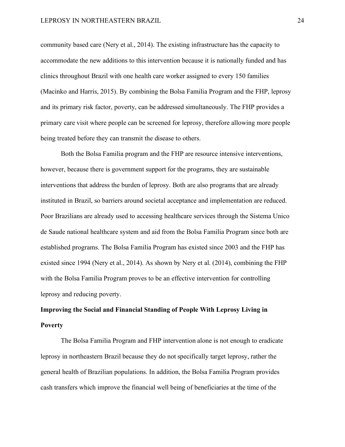community based care (Nery et al., 2014). The existing infrastructure has the capacity to accommodate the new additions to this intervention because it is nationally funded and has clinics throughout Brazil with one health care worker assigned to every 150 families (Macinko and Harris, 2015). By combining the Bolsa Familia Program and the FHP, leprosy and its primary risk factor, poverty, can be addressed simultaneously. The FHP provides a primary care visit where people can be screened for leprosy, therefore allowing more people being treated before they can transmit the disease to others.

Both the Bolsa Familia program and the FHP are resource intensive interventions, however, because there is government support for the programs, they are sustainable interventions that address the burden of leprosy. Both are also programs that are already instituted in Brazil, so barriers around societal acceptance and implementation are reduced. Poor Brazilians are already used to accessing healthcare services through the Sistema Unico de Saude national healthcare system and aid from the Bolsa Familia Program since both are established programs. The Bolsa Familia Program has existed since 2003 and the FHP has existed since 1994 (Nery et al., 2014). As shown by Nery et al. (2014), combining the FHP with the Bolsa Familia Program proves to be an effective intervention for controlling leprosy and reducing poverty.

# **Improving the Social and Financial Standing of People With Leprosy Living in Poverty**

The Bolsa Familia Program and FHP intervention alone is not enough to eradicate leprosy in northeastern Brazil because they do not specifically target leprosy, rather the general health of Brazilian populations. In addition, the Bolsa Familia Program provides cash transfers which improve the financial well being of beneficiaries at the time of the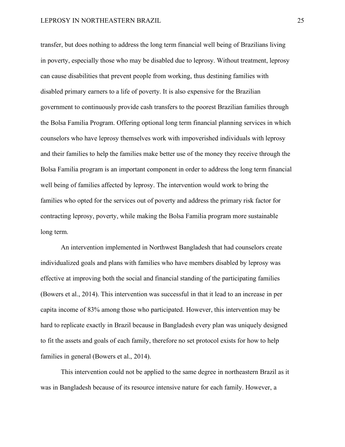transfer, but does nothing to address the long term financial well being of Brazilians living in poverty, especially those who may be disabled due to leprosy. Without treatment, leprosy can cause disabilities that prevent people from working, thus destining families with disabled primary earners to a life of poverty. It is also expensive for the Brazilian government to continuously provide cash transfers to the poorest Brazilian families through the Bolsa Familia Program. Offering optional long term financial planning services in which counselors who have leprosy themselves work with impoverished individuals with leprosy and their families to help the families make better use of the money they receive through the Bolsa Familia program is an important component in order to address the long term financial well being of families affected by leprosy. The intervention would work to bring the families who opted for the services out of poverty and address the primary risk factor for contracting leprosy, poverty, while making the Bolsa Familia program more sustainable long term.

An intervention implemented in Northwest Bangladesh that had counselors create individualized goals and plans with families who have members disabled by leprosy was effective at improving both the social and financial standing of the participating families (Bowers et al., 2014). This intervention was successful in that it lead to an increase in per capita income of 83% among those who participated. However, this intervention may be hard to replicate exactly in Brazil because in Bangladesh every plan was uniquely designed to fit the assets and goals of each family, therefore no set protocol exists for how to help families in general (Bowers et al., 2014).

This intervention could not be applied to the same degree in northeastern Brazil as it was in Bangladesh because of its resource intensive nature for each family. However, a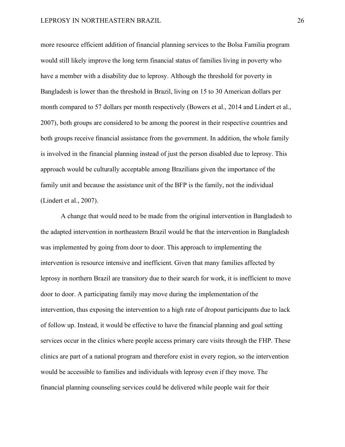more resource efficient addition of financial planning services to the Bolsa Familia program would still likely improve the long term financial status of families living in poverty who have a member with a disability due to leprosy. Although the threshold for poverty in Bangladesh is lower than the threshold in Brazil, living on 15 to 30 American dollars per month compared to 57 dollars per month respectively (Bowers et al., 2014 and Lindert et al., 2007), both groups are considered to be among the poorest in their respective countries and both groups receive financial assistance from the government. In addition, the whole family is involved in the financial planning instead of just the person disabled due to leprosy. This approach would be culturally acceptable among Brazilians given the importance of the family unit and because the assistance unit of the BFP is the family, not the individual (Lindert et al., 2007).

A change that would need to be made from the original intervention in Bangladesh to the adapted intervention in northeastern Brazil would be that the intervention in Bangladesh was implemented by going from door to door. This approach to implementing the intervention is resource intensive and inefficient. Given that many families affected by leprosy in northern Brazil are transitory due to their search for work, it is inefficient to move door to door. A participating family may move during the implementation of the intervention, thus exposing the intervention to a high rate of dropout participants due to lack of follow up. Instead, it would be effective to have the financial planning and goal setting services occur in the clinics where people access primary care visits through the FHP. These clinics are part of a national program and therefore exist in every region, so the intervention would be accessible to families and individuals with leprosy even if they move. The financial planning counseling services could be delivered while people wait for their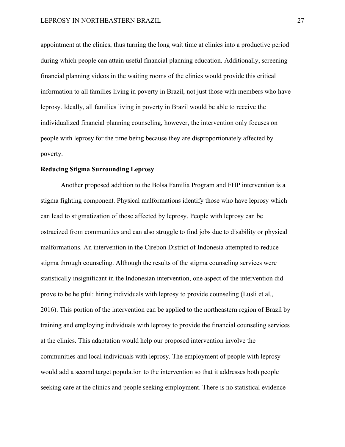appointment at the clinics, thus turning the long wait time at clinics into a productive period during which people can attain useful financial planning education. Additionally, screening financial planning videos in the waiting rooms of the clinics would provide this critical information to all families living in poverty in Brazil, not just those with members who have leprosy. Ideally, all families living in poverty in Brazil would be able to receive the individualized financial planning counseling, however, the intervention only focuses on people with leprosy for the time being because they are disproportionately affected by poverty.

#### **Reducing Stigma Surrounding Leprosy**

Another proposed addition to the Bolsa Familia Program and FHP intervention is a stigma fighting component. Physical malformations identify those who have leprosy which can lead to stigmatization of those affected by leprosy. People with leprosy can be ostracized from communities and can also struggle to find jobs due to disability or physical malformations. An intervention in the Cirebon District of Indonesia attempted to reduce stigma through counseling. Although the results of the stigma counseling services were statistically insignificant in the Indonesian intervention, one aspect of the intervention did prove to be helpful: hiring individuals with leprosy to provide counseling (Lusli et al., 2016). This portion of the intervention can be applied to the northeastern region of Brazil by training and employing individuals with leprosy to provide the financial counseling services at the clinics. This adaptation would help our proposed intervention involve the communities and local individuals with leprosy. The employment of people with leprosy would add a second target population to the intervention so that it addresses both people seeking care at the clinics and people seeking employment. There is no statistical evidence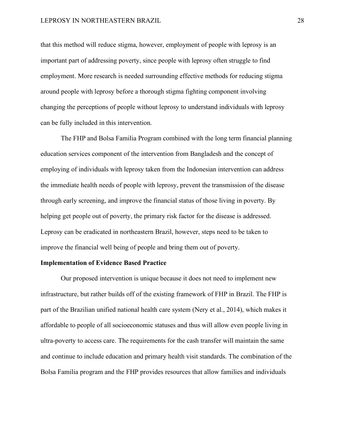#### LEPROSY IN NORTHEASTERN BRAZIL 28

that this method will reduce stigma, however, employment of people with leprosy is an important part of addressing poverty, since people with leprosy often struggle to find employment. More research is needed surrounding effective methods for reducing stigma around people with leprosy before a thorough stigma fighting component involving changing the perceptions of people without leprosy to understand individuals with leprosy can be fully included in this intervention.

The FHP and Bolsa Familia Program combined with the long term financial planning education services component of the intervention from Bangladesh and the concept of employing of individuals with leprosy taken from the Indonesian intervention can address the immediate health needs of people with leprosy, prevent the transmission of the disease through early screening, and improve the financial status of those living in poverty. By helping get people out of poverty, the primary risk factor for the disease is addressed. Leprosy can be eradicated in northeastern Brazil, however, steps need to be taken to improve the financial well being of people and bring them out of poverty.

#### **Implementation of Evidence Based Practice**

Our proposed intervention is unique because it does not need to implement new infrastructure, but rather builds off of the existing framework of FHP in Brazil. The FHP is part of the Brazilian unified national health care system (Nery et al., 2014), which makes it affordable to people of all socioeconomic statuses and thus will allow even people living in ultra-poverty to access care. The requirements for the cash transfer will maintain the same and continue to include education and primary health visit standards. The combination of the Bolsa Familia program and the FHP provides resources that allow families and individuals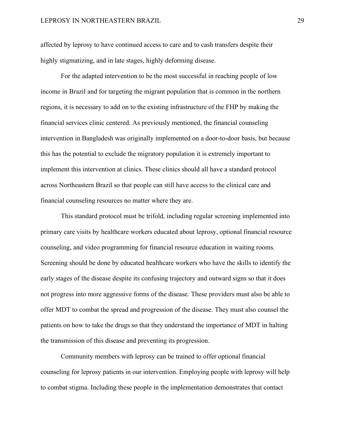affected by leprosy to have continued access to care and to cash transfers despite their highly stigmatizing, and in late stages, highly deforming disease.

For the adapted intervention to be the most successful in reaching people of low income in Brazil and for targeting the migrant population that is common in the northern regions, it is necessary to add on to the existing infrastructure of the FHP by making the financial services clinic centered. As previously mentioned, the financial counseling intervention in Bangladesh was originally implemented on a door-to-door basis, but because this has the potential to exclude the migratory population it is extremely important to implement this intervention at clinics. These clinics should all have a standard protocol across Northeastern Brazil so that people can still have access to the clinical care and financial counseling resources no matter where they are.

This standard protocol must be trifold, including regular screening implemented into primary care visits by healthcare workers educated about leprosy, optional financial resource counseling, and video programming for financial resource education in waiting rooms. Screening should be done by educated healthcare workers who have the skills to identify the early stages of the disease despite its confusing trajectory and outward signs so that it does not progress into more aggressive forms of the disease. These providers must also be able to offer MDT to combat the spread and progression of the disease. They must also counsel the patients on how to take the drugs so that they understand the importance of MDT in halting the transmission of this disease and preventing its progression.

Community members with leprosy can be trained to offer optional financial counseling for leprosy patients in our intervention. Employing people with leprosy will help to combat stigma. Including these people in the implementation demonstrates that contact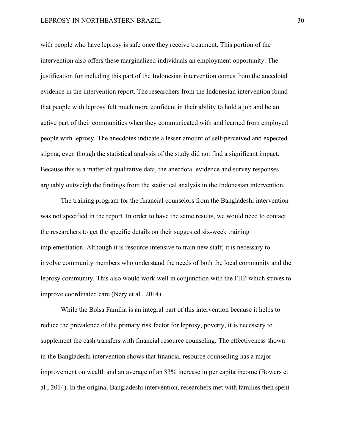with people who have leprosy is safe once they receive treatment. This portion of the intervention also offers these marginalized individuals an employment opportunity. The justification for including this part of the Indonesian intervention comes from the anecdotal evidence in the intervention report. The researchers from the Indonesian intervention found that people with leprosy felt much more confident in their ability to hold a job and be an active part of their communities when they communicated with and learned from employed people with leprosy. The anecdotes indicate a lesser amount of self-perceived and expected stigma, even though the statistical analysis of the study did not find a significant impact. Because this is a matter of qualitative data, the anecdotal evidence and survey responses arguably outweigh the findings from the statistical analysis in the Indonesian intervention.

The training program for the financial counselors from the Bangladeshi intervention was not specified in the report. In order to have the same results, we would need to contact the researchers to get the specific details on their suggested six-week training implementation. Although it is resource intensive to train new staff, it is necessary to involve community members who understand the needs of both the local community and the leprosy community. This also would work well in conjunction with the FHP which strives to improve coordinated care (Nery et al., 2014).

While the Bolsa Familia is an integral part of this intervention because it helps to reduce the prevalence of the primary risk factor for leprosy, poverty, it is necessary to supplement the cash transfers with financial resource counseling. The effectiveness shown in the Bangladeshi intervention shows that financial resource counselling has a major improvement on wealth and an average of an 83% increase in per capita income (Bowers et al., 2014). In the original Bangladeshi intervention, researchers met with families then spent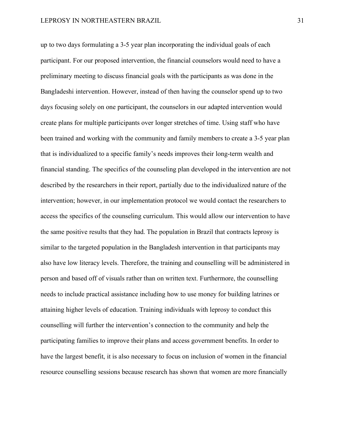up to two days formulating a 3-5 year plan incorporating the individual goals of each participant. For our proposed intervention, the financial counselors would need to have a preliminary meeting to discuss financial goals with the participants as was done in the Bangladeshi intervention. However, instead of then having the counselor spend up to two days focusing solely on one participant, the counselors in our adapted intervention would create plans for multiple participants over longer stretches of time. Using staff who have been trained and working with the community and family members to create a 3-5 year plan that is individualized to a specific family's needs improves their long-term wealth and financial standing. The specifics of the counseling plan developed in the intervention are not described by the researchers in their report, partially due to the individualized nature of the intervention; however, in our implementation protocol we would contact the researchers to access the specifics of the counseling curriculum. This would allow our intervention to have the same positive results that they had. The population in Brazil that contracts leprosy is similar to the targeted population in the Bangladesh intervention in that participants may also have low literacy levels. Therefore, the training and counselling will be administered in person and based off of visuals rather than on written text. Furthermore, the counselling needs to include practical assistance including how to use money for building latrines or attaining higher levels of education. Training individuals with leprosy to conduct this counselling will further the intervention's connection to the community and help the participating families to improve their plans and access government benefits. In order to have the largest benefit, it is also necessary to focus on inclusion of women in the financial resource counselling sessions because research has shown that women are more financially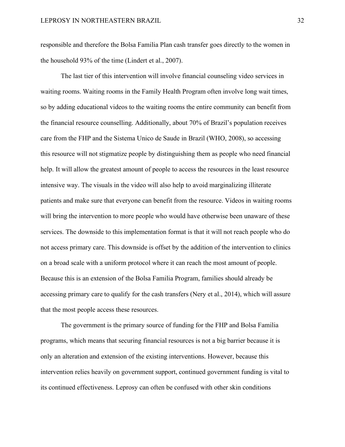responsible and therefore the Bolsa Familia Plan cash transfer goes directly to the women in the household 93% of the time (Lindert et al., 2007).

The last tier of this intervention will involve financial counseling video services in waiting rooms. Waiting rooms in the Family Health Program often involve long wait times, so by adding educational videos to the waiting rooms the entire community can benefit from the financial resource counselling. Additionally, about 70% of Brazil's population receives care from the FHP and the Sistema Unico de Saude in Brazil (WHO, 2008), so accessing this resource will not stigmatize people by distinguishing them as people who need financial help. It will allow the greatest amount of people to access the resources in the least resource intensive way. The visuals in the video will also help to avoid marginalizing illiterate patients and make sure that everyone can benefit from the resource. Videos in waiting rooms will bring the intervention to more people who would have otherwise been unaware of these services. The downside to this implementation format is that it will not reach people who do not access primary care. This downside is offset by the addition of the intervention to clinics on a broad scale with a uniform protocol where it can reach the most amount of people. Because this is an extension of the Bolsa Familia Program, families should already be accessing primary care to qualify for the cash transfers (Nery et al., 2014), which will assure that the most people access these resources.

The government is the primary source of funding for the FHP and Bolsa Familia programs, which means that securing financial resources is not a big barrier because it is only an alteration and extension of the existing interventions. However, because this intervention relies heavily on government support, continued government funding is vital to its continued effectiveness. Leprosy can often be confused with other skin conditions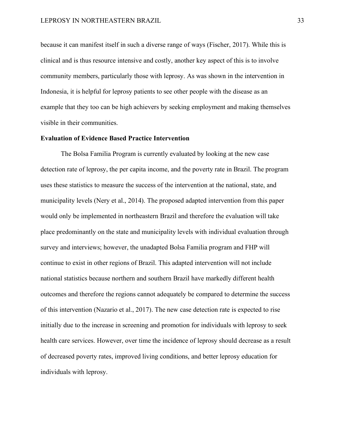because it can manifest itself in such a diverse range of ways (Fischer, 2017). While this is clinical and is thus resource intensive and costly, another key aspect of this is to involve community members, particularly those with leprosy. As was shown in the intervention in Indonesia, it is helpful for leprosy patients to see other people with the disease as an example that they too can be high achievers by seeking employment and making themselves visible in their communities.

#### **Evaluation of Evidence Based Practice Intervention**

The Bolsa Familia Program is currently evaluated by looking at the new case detection rate of leprosy, the per capita income, and the poverty rate in Brazil. The program uses these statistics to measure the success of the intervention at the national, state, and municipality levels (Nery et al., 2014). The proposed adapted intervention from this paper would only be implemented in northeastern Brazil and therefore the evaluation will take place predominantly on the state and municipality levels with individual evaluation through survey and interviews; however, the unadapted Bolsa Familia program and FHP will continue to exist in other regions of Brazil. This adapted intervention will not include national statistics because northern and southern Brazil have markedly different health outcomes and therefore the regions cannot adequately be compared to determine the success of this intervention (Nazario et al., 2017). The new case detection rate is expected to rise initially due to the increase in screening and promotion for individuals with leprosy to seek health care services. However, over time the incidence of leprosy should decrease as a result of decreased poverty rates, improved living conditions, and better leprosy education for individuals with leprosy.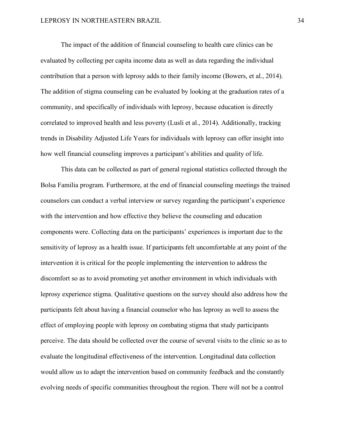The impact of the addition of financial counseling to health care clinics can be evaluated by collecting per capita income data as well as data regarding the individual contribution that a person with leprosy adds to their family income (Bowers, et al., 2014). The addition of stigma counseling can be evaluated by looking at the graduation rates of a community, and specifically of individuals with leprosy, because education is directly correlated to improved health and less poverty (Lusli et al., 2014). Additionally, tracking trends in Disability Adjusted Life Years for individuals with leprosy can offer insight into how well financial counseling improves a participant's abilities and quality of life.

This data can be collected as part of general regional statistics collected through the Bolsa Familia program. Furthermore, at the end of financial counseling meetings the trained counselors can conduct a verbal interview or survey regarding the participant's experience with the intervention and how effective they believe the counseling and education components were. Collecting data on the participants' experiences is important due to the sensitivity of leprosy as a health issue. If participants felt uncomfortable at any point of the intervention it is critical for the people implementing the intervention to address the discomfort so as to avoid promoting yet another environment in which individuals with leprosy experience stigma. Qualitative questions on the survey should also address how the participants felt about having a financial counselor who has leprosy as well to assess the effect of employing people with leprosy on combating stigma that study participants perceive. The data should be collected over the course of several visits to the clinic so as to evaluate the longitudinal effectiveness of the intervention. Longitudinal data collection would allow us to adapt the intervention based on community feedback and the constantly evolving needs of specific communities throughout the region. There will not be a control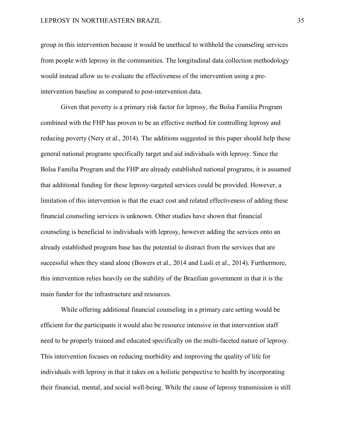group in this intervention because it would be unethical to withhold the counseling services from people with leprosy in the communities. The longitudinal data collection methodology would instead allow us to evaluate the effectiveness of the intervention using a preintervention baseline as compared to post-intervention data.

Given that poverty is a primary risk factor for leprosy, the Bolsa Familia Program combined with the FHP has proven to be an effective method for controlling leprosy and reducing poverty (Nery et al., 2014). The additions suggested in this paper should help these general national programs specifically target and aid individuals with leprosy. Since the Bolsa Familia Program and the FHP are already established national programs, it is assumed that additional funding for these leprosy-targeted services could be provided. However, a limitation of this intervention is that the exact cost and related effectiveness of adding these financial counseling services is unknown. Other studies have shown that financial counseling is beneficial to individuals with leprosy, however adding the services onto an already established program base has the potential to distract from the services that are successful when they stand alone (Bowers et al., 2014 and Lusli et al., 2014). Furthermore, this intervention relies heavily on the stability of the Brazilian government in that it is the main funder for the infrastructure and resources.

While offering additional financial counseling in a primary care setting would be efficient for the participants it would also be resource intensive in that intervention staff need to be properly trained and educated specifically on the multi-faceted nature of leprosy. This intervention focuses on reducing morbidity and improving the quality of life for individuals with leprosy in that it takes on a holistic perspective to health by incorporating their financial, mental, and social well-being. While the cause of leprosy transmission is still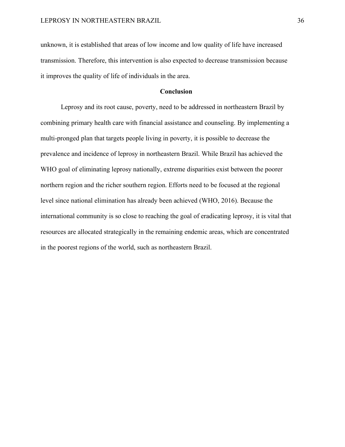unknown, it is established that areas of low income and low quality of life have increased transmission. Therefore, this intervention is also expected to decrease transmission because it improves the quality of life of individuals in the area.

### **Conclusion**

Leprosy and its root cause, poverty, need to be addressed in northeastern Brazil by combining primary health care with financial assistance and counseling. By implementing a multi-pronged plan that targets people living in poverty, it is possible to decrease the prevalence and incidence of leprosy in northeastern Brazil. While Brazil has achieved the WHO goal of eliminating leprosy nationally, extreme disparities exist between the poorer northern region and the richer southern region. Efforts need to be focused at the regional level since national elimination has already been achieved (WHO, 2016). Because the international community is so close to reaching the goal of eradicating leprosy, it is vital that resources are allocated strategically in the remaining endemic areas, which are concentrated in the poorest regions of the world, such as northeastern Brazil.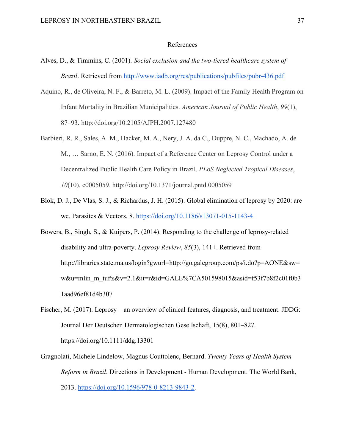#### References

- Alves, D., & Timmins, C. (2001). *Social exclusion and the two-tiered healthcare system of Brazil*. Retrieved from http://www.iadb.org/res/publications/pubfiles/pubr-436.pdf
- Aquino, R., de Oliveira, N. F., & Barreto, M. L. (2009). Impact of the Family Health Program on Infant Mortality in Brazilian Municipalities. *American Journal of Public Health*, *99*(1), 87–93. http://doi.org/10.2105/AJPH.2007.127480
- Barbieri, R. R., Sales, A. M., Hacker, M. A., Nery, J. A. da C., Duppre, N. C., Machado, A. de M., … Sarno, E. N. (2016). Impact of a Reference Center on Leprosy Control under a Decentralized Public Health Care Policy in Brazil. *PLoS Neglected Tropical Diseases*, *10*(10), e0005059. http://doi.org/10.1371/journal.pntd.0005059
- Blok, D. J., De Vlas, S. J., & Richardus, J. H. (2015). Global elimination of leprosy by 2020: are we. Parasites & Vectors, 8. https://doi.org/10.1186/s13071-015-1143-4
- Bowers, B., Singh, S., & Kuipers, P. (2014). Responding to the challenge of leprosy-related disability and ultra-poverty. *Leprosy Review*, *85*(3), 141+. Retrieved from http://libraries.state.ma.us/login?gwurl=http://go.galegroup.com/ps/i.do?p=AONE&sw= w&u=mlin\_m\_tufts&v=2.1&it=r&id=GALE%7CA501598015&asid=f53f7b8f2c01f0b3 1aad96ef81d4b307
- Fischer, M. (2017). Leprosy an overview of clinical features, diagnosis, and treatment. JDDG: Journal Der Deutschen Dermatologischen Gesellschaft, 15(8), 801–827. https://doi.org/10.1111/ddg.13301
- Gragnolati, Michele Lindelow, Magnus Couttolenc, Bernard. *Twenty Years of Health System Reform in Brazil*. Directions in Development - Human Development. The World Bank, 2013. https://doi.org/10.1596/978-0-8213-9843-2.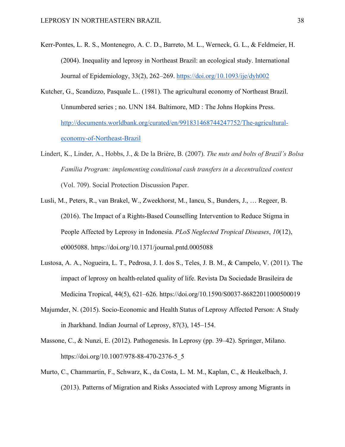- Kerr-Pontes, L. R. S., Montenegro, A. C. D., Barreto, M. L., Werneck, G. L., & Feldmeier, H. (2004). Inequality and leprosy in Northeast Brazil: an ecological study. International Journal of Epidemiology, 33(2), 262–269. https://doi.org/10.1093/ije/dyh002
- Kutcher, G., Scandizzo, Pasquale L.. (1981). The agricultural economy of Northeast Brazil. Unnumbered series ; no. UNN 184. Baltimore, MD : The Johns Hopkins Press. http://documents.worldbank.org/curated/en/991831468744247752/The-agriculturaleconomy-of-Northeast-Brazil
- Lindert, K., Linder, A., Hobbs, J., & De la Brière, B. (2007). *The nuts and bolts of Brazil's Bolsa Família Program: implementing conditional cash transfers in a decentralized context* (Vol. 709). Social Protection Discussion Paper.
- Lusli, M., Peters, R., van Brakel, W., Zweekhorst, M., Iancu, S., Bunders, J., … Regeer, B. (2016). The Impact of a Rights-Based Counselling Intervention to Reduce Stigma in People Affected by Leprosy in Indonesia. *PLoS Neglected Tropical Diseases*, *10*(12), e0005088. https://doi.org/10.1371/journal.pntd.0005088
- Lustosa, A. A., Nogueira, L. T., Pedrosa, J. I. dos S., Teles, J. B. M., & Campelo, V. (2011). The impact of leprosy on health-related quality of life. Revista Da Sociedade Brasileira de Medicina Tropical, 44(5), 621–626. https://doi.org/10.1590/S0037-86822011000500019
- Majumder, N. (2015). Socio-Economic and Health Status of Leprosy Affected Person: A Study in Jharkhand. Indian Journal of Leprosy, 87(3), 145–154.
- Massone, C., & Nunzi, E. (2012). Pathogenesis. In Leprosy (pp. 39–42). Springer, Milano. https://doi.org/10.1007/978-88-470-2376-5\_5
- Murto, C., Chammartin, F., Schwarz, K., da Costa, L. M. M., Kaplan, C., & Heukelbach, J. (2013). Patterns of Migration and Risks Associated with Leprosy among Migrants in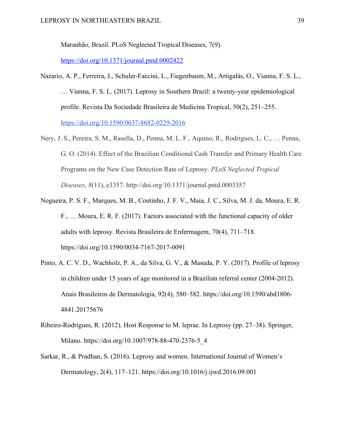Maranhão, Brazil. PLoS Neglected Tropical Diseases, 7(9).

https://doi.org/10.1371/journal.pntd.0002422

- Nazario, A. P., Ferreira, J., Schuler-Faccini, L., Fiegenbaum, M., Artigalás, O., Vianna, F. S. L., … Vianna, F. S. L. (2017). Leprosy in Southern Brazil: a twenty-year epidemiological profile. Revista Da Sociedade Brasileira de Medicina Tropical, 50(2), 251–255. https://doi.org/10.1590/0037-8682-0229-2016
- Nery, J. S., Pereira, S. M., Rasella, D., Penna, M. L. F., Aquino, R., Rodrigues, L. C., … Penna, G. O. (2014). Effect of the Brazilian Conditional Cash Transfer and Primary Health Care Programs on the New Case Detection Rate of Leprosy. *PLoS Neglected Tropical Diseases*, *8*(11), e3357. http://doi.org/10.1371/journal.pntd.0003357
- Nogueira, P. S. F., Marques, M. B., Coutinho, J. F. V., Maia, J. C., Silva, M. J. da, Moura, E. R. F., … Moura, E. R. F. (2017). Factors associated with the functional capacity of older adults with leprosy. Revista Brasileira de Enfermagem, 70(4), 711–718. https://doi.org/10.1590/0034-7167-2017-0091
- Pinto, A. C. V. D., Wachholz, P. A., da Silva, G. V., & Masuda, P. Y. (2017). Profile of leprosy in children under 15 years of age monitored in a Brazilian referral center (2004-2012). Anais Brasileiros de Dermatologia, 92(4), 580–582. https://doi.org/10.1590/abd1806- 4841.20175676
- Ribeiro-Rodrigues, R. (2012). Host Response to M. leprae. In Leprosy (pp. 27–38). Springer, Milano. https://doi.org/10.1007/978-88-470-2376-5\_4
- Sarkar, R., & Pradhan, S. (2016). Leprosy and women. International Journal of Women's Dermatology, 2(4), 117–121. https://doi.org/10.1016/j.ijwd.2016.09.001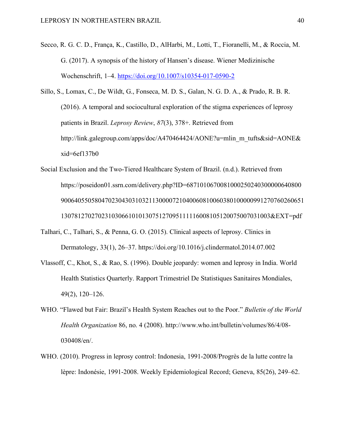- Secco, R. G. C. D., França, K., Castillo, D., AlHarbi, M., Lotti, T., Fioranelli, M., & Roccia, M. G. (2017). A synopsis of the history of Hansen's disease. Wiener Medizinische Wochenschrift, 1–4. https://doi.org/10.1007/s10354-017-0590-2
- Sillo, S., Lomax, C., De Wildt, G., Fonseca, M. D. S., Galan, N. G. D. A., & Prado, R. B. R. (2016). A temporal and sociocultural exploration of the stigma experiences of leprosy patients in Brazil. *Leprosy Review*, *87*(3), 378+. Retrieved from http://link.galegroup.com/apps/doc/A470464424/AONE?u=mlin\_m\_tufts&sid=AONE&  $xid = 6ef137b0$
- Social Exclusion and the Two-Tiered Healthcare System of Brazil. (n.d.). Retrieved from https://poseidon01.ssrn.com/delivery.php?ID=6871010670081000250240300000640800 900640550580470230430310321130000721040060810060380100000991270760260651 13078127027023103066101013075127095111116008105120075007031003&EXT=pdf
- Talhari, C., Talhari, S., & Penna, G. O. (2015). Clinical aspects of leprosy. Clinics in Dermatology, 33(1), 26–37. https://doi.org/10.1016/j.clindermatol.2014.07.002
- Vlassoff, C., Khot, S., & Rao, S. (1996). Double jeopardy: women and leprosy in India. World Health Statistics Quarterly. Rapport Trimestriel De Statistiques Sanitaires Mondiales, 49(2), 120–126.
- WHO. "Flawed but Fair: Brazil's Health System Reaches out to the Poor." *Bulletin of the World Health Organization* 86, no. 4 (2008). http://www.who.int/bulletin/volumes/86/4/08- 030408/en/.
- WHO. (2010). Progress in leprosy control: Indonesia, 1991-2008/Progrès de la lutte contre la lèpre: Indonésie, 1991-2008. Weekly Epidemiological Record; Geneva, 85(26), 249–62.